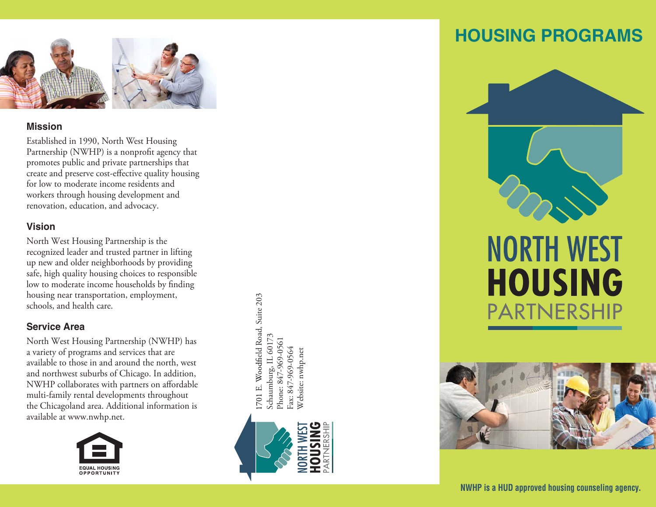

### **Mission**

Established in 1990, North West Housing Partnership (NWHP) is a nonprofit agency that promotes public and private partnerships that create and preserve cost-effective quality housing for low to moderate income residents and workers through housing development and renovation, education, and advocacy.

## **Vision**

North West Housing Partnership is the recognized leader and trusted partner in lifting up new and older neighborhoods by providing safe, high quality housing choices to responsible low to moderate income households by finding housing near transportation, employment, schools, and health care.

# **Service Area**

North West Housing Partnership (NWHP) has a variety of programs and services that are available to those in and around the north, west and northwest suburbs of Chicago. In addition, NWHP collaborates with partners on affordable multi-family rental developments throughout the Chicagoland area. Additional information is available at www.nwhp.net.



1701 E. Woodfield Road, Suite 203 eld Road, Suite 203 Schaumburg, IL 60173 Schaumburg, IL 60173 Phone: 847-969-0561 Phone: 847-969-0561 Fax: 847-969-0564 Fax: 847-969-0564 Website: nwhp.net Website: nwhp.net



# **HOUSING PROGRAMS**



# **NORTH WEST HOUSING** PARTNERSHIP